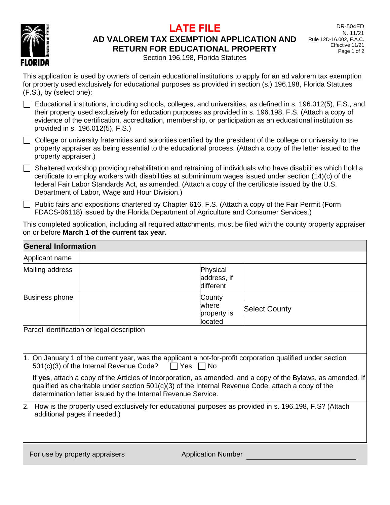

## **LATE FILE**

## **AD VALOREM TAX EXEMPTION APPLICATION AND RETURN FOR EDUCATIONAL PROPERTY**

DR-504ED N. 11/21 Rule 12D-16.002, F.A.C. Effective 11/21 Page 1 of 2

Section 196.198, Florida Statutes

This application is used by owners of certain educational institutions to apply for an ad valorem tax exemption for property used exclusively for educational purposes as provided in section (s.) 196.198, Florida Statutes (F.S.), by (select one):

- $\Box$  Educational institutions, including schools, colleges, and universities, as defined in s. 196.012(5), F.S., and their property used exclusively for education purposes as provided in s. 196.198, F.S. (Attach a copy of evidence of the certification, accreditation, membership, or participation as an educational institution as provided in s. 196.012(5), F.S.)
- $\Box$  College or university fraternities and sororities certified by the president of the college or university to the property appraiser as being essential to the educational process. (Attach a copy of the letter issued to the property appraiser.)
- $\Box$  Sheltered workshop providing rehabilitation and retraining of individuals who have disabilities which hold a certificate to employ workers with disabilities at subminimum wages issued under section (14)(c) of the federal Fair Labor Standards Act, as amended. (Attach a copy of the certificate issued by the U.S. Department of Labor, Wage and Hour Division.)
- Public fairs and expositions chartered by Chapter 616, F.S. (Attach a copy of the Fair Permit (Form FDACS-06118) issued by the Florida Department of Agriculture and Consumer Services.)

This completed application, including all required attachments, must be filed with the county property appraiser on or before **March 1 of the current tax year.**

| <b>General Information</b>         |                                                                                                                                                                                |                                            |                                                                                                              |
|------------------------------------|--------------------------------------------------------------------------------------------------------------------------------------------------------------------------------|--------------------------------------------|--------------------------------------------------------------------------------------------------------------|
| Applicant name                     |                                                                                                                                                                                |                                            |                                                                                                              |
| Mailing address                    |                                                                                                                                                                                | Physical<br>address, if<br>different       |                                                                                                              |
| Business phone                     |                                                                                                                                                                                | County<br>lwhere<br>property is<br>located | <b>Select County</b>                                                                                         |
|                                    | Parcel identification or legal description                                                                                                                                     |                                            |                                                                                                              |
|                                    | 1. On January 1 of the current year, was the applicant a not-for-profit corporation qualified under section<br>501(c)(3) of the Internal Revenue Code?<br>$\Box$ Yes $\Box$ No |                                            |                                                                                                              |
|                                    | qualified as charitable under section $501(c)(3)$ of the Internal Revenue Code, attach a copy of the<br>determination letter issued by the Internal Revenue Service.           |                                            | If yes, attach a copy of the Articles of Incorporation, as amended, and a copy of the Bylaws, as amended. If |
| 2.<br>additional pages if needed.) | How is the property used exclusively for educational purposes as provided in s. 196.198, F.S? (Attach                                                                          |                                            |                                                                                                              |
| For use by property appraisers     |                                                                                                                                                                                | <b>Application Number</b>                  |                                                                                                              |